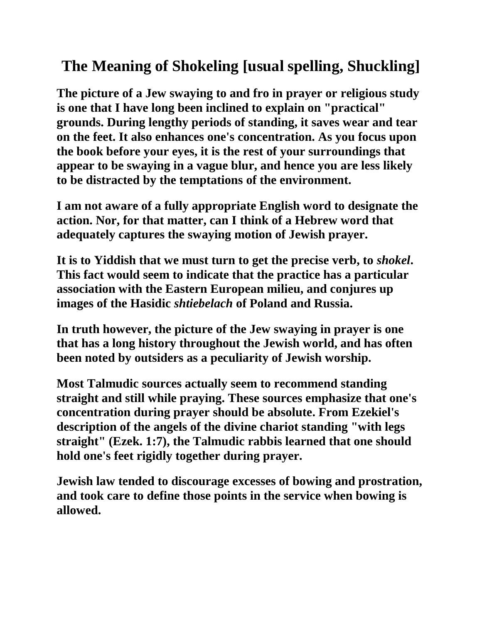# **The Meaning of Shokeling [usual spelling, Shuckling]**

**The picture of a Jew swaying to and fro in prayer or religious study is one that I have long been inclined to explain on "practical" grounds. During lengthy periods of standing, it saves wear and tear on the feet. It also enhances one's concentration. As you focus upon the book before your eyes, it is the rest of your surroundings that appear to be swaying in a vague blur, and hence you are less likely to be distracted by the temptations of the environment.**

**I am not aware of a fully appropriate English word to designate the action. Nor, for that matter, can I think of a Hebrew word that adequately captures the swaying motion of Jewish prayer.**

**It is to Yiddish that we must turn to get the precise verb, to** *shokel***. This fact would seem to indicate that the practice has a particular association with the Eastern European milieu, and conjures up images of the Hasidic** *shtiebelach* **of Poland and Russia.**

**In truth however, the picture of the Jew swaying in prayer is one that has a long history throughout the Jewish world, and has often been noted by outsiders as a peculiarity of Jewish worship.**

**Most Talmudic sources actually seem to recommend standing straight and still while praying. These sources emphasize that one's concentration during prayer should be absolute. From Ezekiel's description of the angels of the divine chariot standing "with legs straight" (Ezek. 1:7), the Talmudic rabbis learned that one should hold one's feet rigidly together during prayer.**

**Jewish law tended to discourage excesses of bowing and prostration, and took care to define those points in the service when bowing is allowed.**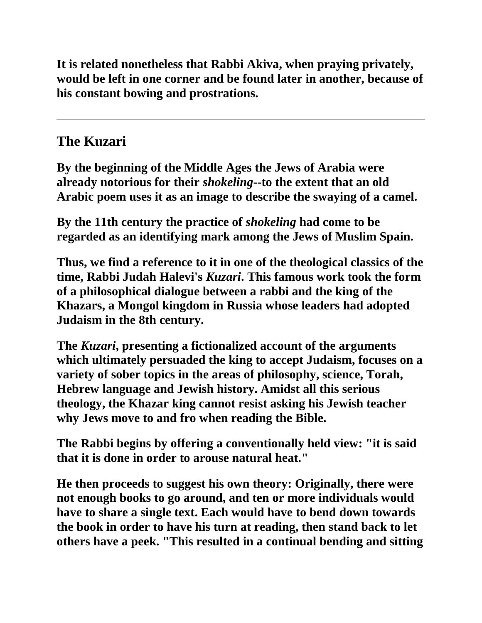**It is related nonetheless that Rabbi Akiva, when praying privately, would be left in one corner and be found later in another, because of his constant bowing and prostrations.**

## **The Kuzari**

**By the beginning of the Middle Ages the Jews of Arabia were already notorious for their** *shokeling***--to the extent that an old Arabic poem uses it as an image to describe the swaying of a camel.**

**By the 11th century the practice of** *shokeling* **had come to be regarded as an identifying mark among the Jews of Muslim Spain.**

**Thus, we find a reference to it in one of the theological classics of the time, Rabbi Judah Halevi's** *Kuzari***. This famous work took the form of a philosophical dialogue between a rabbi and the king of the Khazars, a Mongol kingdom in Russia whose leaders had adopted Judaism in the 8th century.**

**The** *Kuzari***, presenting a fictionalized account of the arguments which ultimately persuaded the king to accept Judaism, focuses on a variety of sober topics in the areas of philosophy, science, Torah, Hebrew language and Jewish history. Amidst all this serious theology, the Khazar king cannot resist asking his Jewish teacher why Jews move to and fro when reading the Bible.**

**The Rabbi begins by offering a conventionally held view: "it is said that it is done in order to arouse natural heat."**

**He then proceeds to suggest his own theory: Originally, there were not enough books to go around, and ten or more individuals would have to share a single text. Each would have to bend down towards the book in order to have his turn at reading, then stand back to let others have a peek. "This resulted in a continual bending and sitting**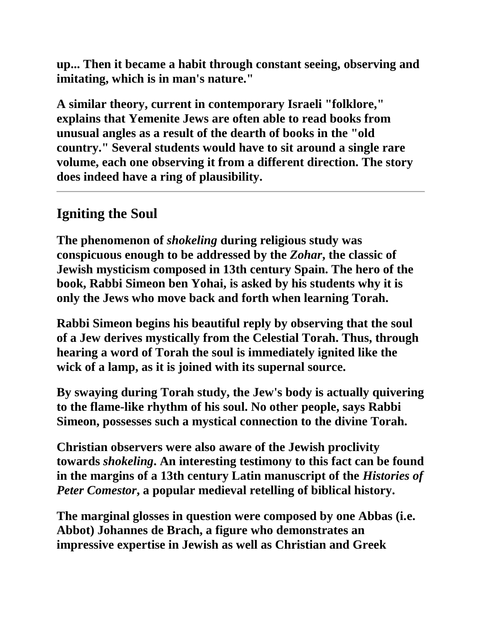**up... Then it became a habit through constant seeing, observing and imitating, which is in man's nature."**

**A similar theory, current in contemporary Israeli "folklore," explains that Yemenite Jews are often able to read books from unusual angles as a result of the dearth of books in the "old country." Several students would have to sit around a single rare volume, each one observing it from a different direction. The story does indeed have a ring of plausibility.**

## **Igniting the Soul**

**The phenomenon of** *shokeling* **during religious study was conspicuous enough to be addressed by the** *Zohar***, the classic of Jewish mysticism composed in 13th century Spain. The hero of the book, Rabbi Simeon ben Yohai, is asked by his students why it is only the Jews who move back and forth when learning Torah.**

**Rabbi Simeon begins his beautiful reply by observing that the soul of a Jew derives mystically from the Celestial Torah. Thus, through hearing a word of Torah the soul is immediately ignited like the wick of a lamp, as it is joined with its supernal source.**

**By swaying during Torah study, the Jew's body is actually quivering to the flame-like rhythm of his soul. No other people, says Rabbi Simeon, possesses such a mystical connection to the divine Torah.**

**Christian observers were also aware of the Jewish proclivity towards** *shokeling***. An interesting testimony to this fact can be found in the margins of a 13th century Latin manuscript of the** *Histories of Peter Comestor***, a popular medieval retelling of biblical history.**

**The marginal glosses in question were composed by one Abbas (i.e. Abbot) Johannes de Brach, a figure who demonstrates an impressive expertise in Jewish as well as Christian and Greek**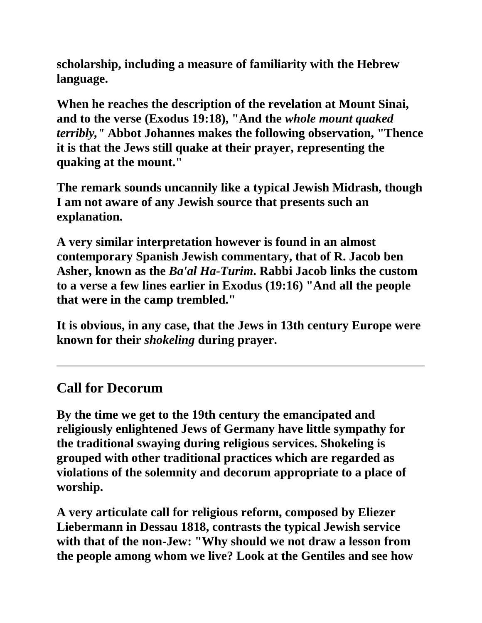**scholarship, including a measure of familiarity with the Hebrew language.**

**When he reaches the description of the revelation at Mount Sinai, and to the verse (Exodus 19:18), "And the** *whole mount quaked terribly,"* **Abbot Johannes makes the following observation, "Thence it is that the Jews still quake at their prayer, representing the quaking at the mount."**

**The remark sounds uncannily like a typical Jewish Midrash, though I am not aware of any Jewish source that presents such an explanation.**

**A very similar interpretation however is found in an almost contemporary Spanish Jewish commentary, that of R. Jacob ben Asher, known as the** *Ba'al Ha-Turim***. Rabbi Jacob links the custom to a verse a few lines earlier in Exodus (19:16) "And all the people that were in the camp trembled."**

**It is obvious, in any case, that the Jews in 13th century Europe were known for their** *shokeling* **during prayer.**

#### **Call for Decorum**

**By the time we get to the 19th century the emancipated and religiously enlightened Jews of Germany have little sympathy for the traditional swaying during religious services. Shokeling is grouped with other traditional practices which are regarded as violations of the solemnity and decorum appropriate to a place of worship.** 

**A very articulate call for religious reform, composed by Eliezer Liebermann in Dessau 1818, contrasts the typical Jewish service with that of the non-Jew: "Why should we not draw a lesson from the people among whom we live? Look at the Gentiles and see how**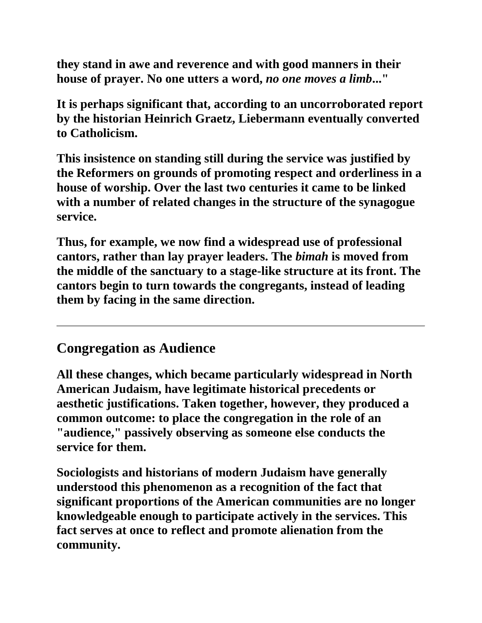**they stand in awe and reverence and with good manners in their house of prayer. No one utters a word,** *no one moves a limb***..."**

**It is perhaps significant that, according to an uncorroborated report by the historian Heinrich Graetz, Liebermann eventually converted to Catholicism.**

**This insistence on standing still during the service was justified by the Reformers on grounds of promoting respect and orderliness in a house of worship. Over the last two centuries it came to be linked with a number of related changes in the structure of the synagogue service.**

**Thus, for example, we now find a widespread use of professional cantors, rather than lay prayer leaders. The** *bimah* **is moved from the middle of the sanctuary to a stage-like structure at its front. The cantors begin to turn towards the congregants, instead of leading them by facing in the same direction.**

#### **Congregation as Audience**

**All these changes, which became particularly widespread in North American Judaism, have legitimate historical precedents or aesthetic justifications. Taken together, however, they produced a common outcome: to place the congregation in the role of an "audience," passively observing as someone else conducts the service for them.**

**Sociologists and historians of modern Judaism have generally understood this phenomenon as a recognition of the fact that significant proportions of the American communities are no longer knowledgeable enough to participate actively in the services. This fact serves at once to reflect and promote alienation from the community.**